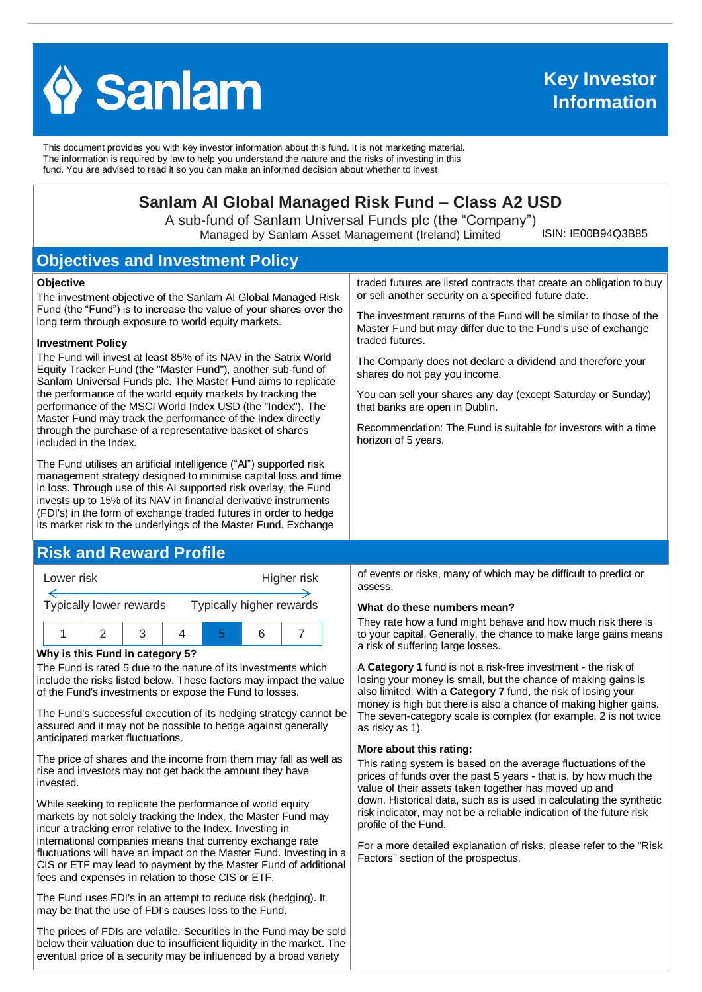

This document provides you with key investor information about this fund. It is not marketing material. The information is required by law to help you understand the nature and the risks of investing in this fund. You are advised to read it so you can make an informed decision about whether to invest.

# **Sanlam AI Global Managed Risk Fund – Class A2 USD**

A sub-fund of Sanlam Universal Funds plc (the "Company") Managed by Sanlam Asset Management (Ireland) Limited

ISIN: IE00B94Q3B85

# **Objectives and Investment Policy**

#### **Objective**

The investment objective of the Sanlam AI Global Managed Risk Fund (the "Fund") is to increase the value of your shares over the long term through exposure to world equity markets.

#### **Investment Policy**

The Fund will invest at least 85% of its NAV in the Satrix World Equity Tracker Fund (the "Master Fund"), another sub-fund of Sanlam Universal Funds plc. The Master Fund aims to replicate the performance of the world equity markets by tracking the performance of the MSCI World Index USD (the "Index"). The Master Fund may track the performance of the Index directly through the purchase of a representative basket of shares included in the Index.

The Fund utilises an artificial intelligence ("AI") supported risk management strategy designed to minimise capital loss and time in loss. Through use of this AI supported risk overlay, the Fund invests up to 15% of its NAV in financial derivative instruments (FDI's) in the form of exchange traded futures in order to hedge its market risk to the underlyings of the Master Fund. Exchange

## **Risk and Reward Profile**



### **Why is this Fund in category 5?**

The Fund is rated 5 due to the nature of its investments which include the risks listed below. These factors may impact the value of the Fund's investments or expose the Fund to losses.

The Fund's successful execution of its hedging strategy cannot be assured and it may not be possible to hedge against generally anticipated market fluctuations.

The price of shares and the income from them may fall as well as rise and investors may not get back the amount they have invested.

While seeking to replicate the performance of world equity markets by not solely tracking the Index, the Master Fund may incur a tracking error relative to the Index. Investing in international companies means that currency exchange rate fluctuations will have an impact on the Master Fund. Investing in a CIS or ETF may lead to payment by the Master Fund of additional fees and expenses in relation to those CIS or ETF.

The Fund uses FDI's in an attempt to reduce risk (hedging). It may be that the use of FDI's causes loss to the Fund.

The prices of FDIs are volatile. Securities in the Fund may be sold below their valuation due to insufficient liquidity in the market. The eventual price of a security may be influenced by a broad variety

traded futures are listed contracts that create an obligation to buy or sell another security on a specified future date.

The investment returns of the Fund will be similar to those of the Master Fund but may differ due to the Fund's use of exchange traded futures.

The Company does not declare a dividend and therefore your shares do not pay you income.

You can sell your shares any day (except Saturday or Sunday) that banks are open in Dublin.

Recommendation: The Fund is suitable for investors with a time horizon of 5 years.

of events or risks, many of which may be difficult to predict or assess.

#### **What do these numbers mean?**

They rate how a fund might behave and how much risk there is to your capital. Generally, the chance to make large gains means a risk of suffering large losses.

A **Category 1** fund is not a risk-free investment - the risk of losing your money is small, but the chance of making gains is also limited. With a **Category 7** fund, the risk of losing your money is high but there is also a chance of making higher gains. The seven-category scale is complex (for example, 2 is not twice as risky as 1).

#### **More about this rating:**

This rating system is based on the average fluctuations of the prices of funds over the past 5 years - that is, by how much the value of their assets taken together has moved up and down. Historical data, such as is used in calculating the synthetic risk indicator, may not be a reliable indication of the future risk profile of the Fund.

For a more detailed explanation of risks, please refer to the ''Risk Factors'' section of the prospectus.